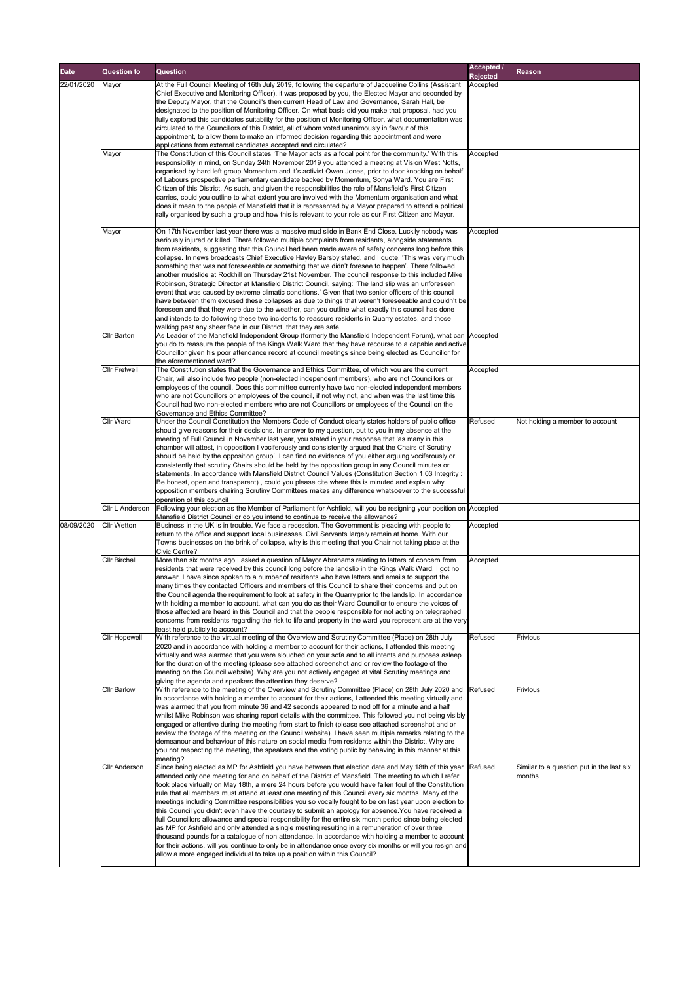| <b>Date</b> | <b>Question to</b>   | <b>Question</b>                                                                                                                                                                                                  | <b>Accepted /</b>           | <b>Reason</b>                                       |
|-------------|----------------------|------------------------------------------------------------------------------------------------------------------------------------------------------------------------------------------------------------------|-----------------------------|-----------------------------------------------------|
| 22/01/2020  | Mayor                | At the Full Council Meeting of 16th July 2019, following the departure of Jacqueline Collins (Assistant                                                                                                          | <b>Rejected</b><br>Accepted |                                                     |
|             |                      | Chief Executive and Monitoring Officer), it was proposed by you, the Elected Mayor and seconded by                                                                                                               |                             |                                                     |
|             |                      | the Deputy Mayor, that the Council's then current Head of Law and Governance, Sarah Hall, be                                                                                                                     |                             |                                                     |
|             |                      | designated to the position of Monitoring Officer. On what basis did you make that proposal, had you<br>fully explored this candidates suitability for the position of Monitoring Officer, what documentation was |                             |                                                     |
|             |                      | circulated to the Councillors of this District, all of whom voted unanimously in favour of this                                                                                                                  |                             |                                                     |
|             |                      | appointment, to allow them to make an informed decision regarding this appointment and were<br>applications from external candidates accepted and circulated?                                                    |                             |                                                     |
|             | Mayor                | The Constitution of this Council states 'The Mayor acts as a focal point for the community.' With this                                                                                                           | Accepted                    |                                                     |
|             |                      | responsibility in mind, on Sunday 24th November 2019 you attended a meeting at Vision West Notts,<br>organised by hard left group Momentum and it's activist Owen Jones, prior to door knocking on behalf        |                             |                                                     |
|             |                      | of Labours prospective parliamentary candidate backed by Momentum, Sonya Ward. You are First                                                                                                                     |                             |                                                     |
|             |                      | Citizen of this District. As such, and given the responsibilities the role of Mansfield's First Citizen<br>carries, could you outline to what extent you are involved with the Momentum organisation and what    |                             |                                                     |
|             |                      | does it mean to the people of Mansfield that it is represented by a Mayor prepared to attend a political                                                                                                         |                             |                                                     |
|             |                      | rally organised by such a group and how this is relevant to your role as our First Citizen and Mayor.                                                                                                            |                             |                                                     |
|             | Mayor                | On 17th November last year there was a massive mud slide in Bank End Close. Luckily nobody was                                                                                                                   | Accepted                    |                                                     |
|             |                      | seriously injured or killed. There followed multiple complaints from residents, alongside statements<br>from residents, suggesting that this Council had been made aware of safety concerns long before this     |                             |                                                     |
|             |                      | collapse. In news broadcasts Chief Executive Hayley Barsby stated, and I quote, 'This was very much                                                                                                              |                             |                                                     |
|             |                      | something that was not foreseeable or something that we didn't foresee to happen'. There followed                                                                                                                |                             |                                                     |
|             |                      | another mudslide at Rockhill on Thursday 21st November. The council response to this included Mike<br>Robinson, Strategic Director at Mansfield District Council, saying: 'The land slip was an unforeseen       |                             |                                                     |
|             |                      | event that was caused by extreme climatic conditions.' Given that two senior officers of this council                                                                                                            |                             |                                                     |
|             |                      | have between them excused these collapses as due to things that weren't foreseeable and couldn't be<br>foreseen and that they were due to the weather, can you outline what exactly this council has done        |                             |                                                     |
|             |                      | and intends to do following these two incidents to reassure residents in Quarry estates, and those                                                                                                               |                             |                                                     |
|             | <b>Cllr Barton</b>   | walking past any sheer face in our District, that they are safe.<br>As Leader of the Mansfield Independent Group (formerly the Mansfield Independent Forum), what can  Accepted                                  |                             |                                                     |
|             |                      | you do to reassure the people of the Kings Walk Ward that they have recourse to a capable and active                                                                                                             |                             |                                                     |
|             |                      | Councillor given his poor attendance record at council meetings since being elected as Councillor for<br>the aforementioned ward?                                                                                |                             |                                                     |
|             | <b>Cllr Fretwell</b> | The Constitution states that the Governance and Ethics Committee, of which you are the current                                                                                                                   | Accepted                    |                                                     |
|             |                      | Chair, will also include two people (non-elected independent members), who are not Councillors or<br>employees of the council. Does this committee currently have two non-elected independent members            |                             |                                                     |
|             |                      | who are not Councillors or employees of the council, if not why not, and when was the last time this                                                                                                             |                             |                                                     |
|             |                      | Council had two non-elected members who are not Councillors or employees of the Council on the                                                                                                                   |                             |                                                     |
|             | Cllr Ward            | <b>Governance and Ethics Committee?</b><br>Under the Council Constitution the Members Code of Conduct clearly states holders of public office                                                                    | Refused                     | Not holding a member to account                     |
|             |                      | should give reasons for their decisions. In answer to my question, put to you in my absence at the                                                                                                               |                             |                                                     |
|             |                      | meeting of Full Council in November last year, you stated in your response that 'as many in this<br>chamber will attest, in opposition I vociferously and consistently argued that the Chairs of Scrutiny        |                             |                                                     |
|             |                      | should be held by the opposition group'. I can find no evidence of you either arguing vociferously or                                                                                                            |                             |                                                     |
|             |                      | consistently that scrutiny Chairs should be held by the opposition group in any Council minutes or<br>statements. In accordance with Mansfield District Council Values (Constitution Section 1.03 Integrity :    |                             |                                                     |
|             |                      | Be honest, open and transparent), could you please cite where this is minuted and explain why                                                                                                                    |                             |                                                     |
|             |                      | opposition members chairing Scrutiny Committees makes any difference whatsoever to the successful<br>operation of this council                                                                                   |                             |                                                     |
|             | Cllr L Anderson      | Following your election as the Member of Parliament for Ashfield, will you be resigning your position on Accepted                                                                                                |                             |                                                     |
| 08/09/2020  | <b>Cllr Wetton</b>   | Mansfield District Council or do you intend to continue to receive the allowance?<br>Business in the UK is in trouble. We face a recession. The Government is pleading with people to                            | Accepted                    |                                                     |
|             |                      | return to the office and support local businesses. Civil Servants largely remain at home. With our                                                                                                               |                             |                                                     |
|             |                      | Towns businesses on the brink of collapse, why is this meeting that you Chair not taking place at the<br><b>Civic Centre?</b>                                                                                    |                             |                                                     |
|             | <b>Cllr Birchall</b> | More than six months ago I asked a question of Mayor Abrahams relating to letters of concern from                                                                                                                | Accepted                    |                                                     |
|             |                      | residents that were received by this council long before the landslip in the Kings Walk Ward. I got no                                                                                                           |                             |                                                     |
|             |                      | answer. I have since spoken to a number of residents who have letters and emails to support the<br>many times they contacted Officers and members of this Council to share their concerns and put on             |                             |                                                     |
|             |                      | the Council agenda the requirement to look at safety in the Quarry prior to the landslip. In accordance                                                                                                          |                             |                                                     |
|             |                      | with holding a member to account, what can you do as their Ward Councillor to ensure the voices of<br>those affected are heard in this Council and that the people responsible for not acting on telegraphed     |                             |                                                     |
|             |                      | concerns from residents regarding the risk to life and property in the ward you represent are at the very                                                                                                        |                             |                                                     |
|             | <b>Cllr Hopewell</b> | least held publicly to account?<br>With reference to the virtual meeting of the Overview and Scrutiny Committee (Place) on 28th July                                                                             | Refused                     | Frivlous                                            |
|             |                      | 2020 and in accordance with holding a member to account for their actions, I attended this meeting                                                                                                               |                             |                                                     |
|             |                      | virtually and was alarmed that you were slouched on your sofa and to all intents and purposes asleep<br>for the duration of the meeting (please see attached screenshot and or review the footage of the         |                             |                                                     |
|             |                      | meeting on the Council website). Why are you not actively engaged at vital Scrutiny meetings and                                                                                                                 |                             |                                                     |
|             | <b>Cllr Barlow</b>   | giving the agenda and speakers the attention they deserve?<br>With reference to the meeting of the Overview and Scrutiny Committee (Place) on 28th July 2020 and                                                 | Refused                     | Frivlous                                            |
|             |                      | in accordance with holding a member to account for their actions, I attended this meeting virtually and                                                                                                          |                             |                                                     |
|             |                      | was alarmed that you from minute 36 and 42 seconds appeared to nod off for a minute and a half<br>whilst Mike Robinson was sharing report details with the committee. This followed you not being visibly        |                             |                                                     |
|             |                      | engaged or attentive during the meeting from start to finish (please see attached screenshot and or                                                                                                              |                             |                                                     |
|             |                      | review the footage of the meeting on the Council website). I have seen multiple remarks relating to the                                                                                                          |                             |                                                     |
|             |                      | demeanour and behaviour of this nature on social media from residents within the District. Why are<br>you not respecting the meeting, the speakers and the voting public by behaving in this manner at this      |                             |                                                     |
|             |                      | meeting?                                                                                                                                                                                                         |                             |                                                     |
|             | <b>Cllr Anderson</b> | Since being elected as MP for Ashfield you have between that election date and May 18th of this year<br>attended only one meeting for and on behalf of the District of Mansfield. The meeting to which I refer   | Refused                     | Similar to a question put in the last six<br>months |
|             |                      | took place virtually on May 18th, a mere 24 hours before you would have fallen foul of the Constitution                                                                                                          |                             |                                                     |
|             |                      | rule that all members must attend at least one meeting of this Council every six months. Many of the<br>meetings including Committee responsibilities you so vocally fought to be on last year upon election to  |                             |                                                     |
|             |                      | this Council you didn't even have the courtesy to submit an apology for absence. You have received a                                                                                                             |                             |                                                     |
|             |                      | full Councillors allowance and special responsibility for the entire six month period since being elected<br>as MP for Ashfield and only attended a single meeting resulting in a remuneration of over three     |                             |                                                     |
|             |                      | thousand pounds for a catalogue of non attendance. In accordance with holding a member to account                                                                                                                |                             |                                                     |
|             |                      | for their actions, will you continue to only be in attendance once every six months or will you resign and<br>allow a more engaged individual to take up a position within this Council?                         |                             |                                                     |
|             |                      |                                                                                                                                                                                                                  |                             |                                                     |